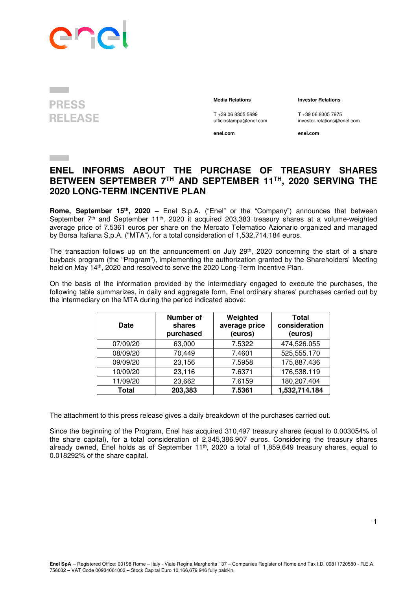

## **PRESS RELEASE**

 **Media Relations Investor Relations** 

T +39 06 8305 5699 T +39 06 8305 7975<br>ufficiostampa@enel.com investor.relations@e

**enel.com enel.com**

investor.relations@enel.com

## **ENEL INFORMS ABOUT THE PURCHASE OF TREASURY SHARES BETWEEN SEPTEMBER 7TH AND SEPTEMBER 11TH, 2020 SERVING THE 2020 LONG-TERM INCENTIVE PLAN**

**Rome, September 15th , 2020 –** Enel S.p.A. ("Enel" or the "Company") announces that between September 7<sup>th</sup> and September 11<sup>th</sup>, 2020 it acquired 203,383 treasury shares at a volume-weighted average price of 7.5361 euros per share on the Mercato Telematico Azionario organized and managed by Borsa Italiana S.p.A. ("MTA"), for a total consideration of 1,532,714.184 euros.

The transaction follows up on the announcement on July 29<sup>th</sup>, 2020 concerning the start of a share buyback program (the "Program"), implementing the authorization granted by the Shareholders' Meeting held on May 14th, 2020 and resolved to serve the 2020 Long-Term Incentive Plan.

On the basis of the information provided by the intermediary engaged to execute the purchases, the following table summarizes, in daily and aggregate form, Enel ordinary shares' purchases carried out by the intermediary on the MTA during the period indicated above:

| Date     | <b>Number of</b><br>Weighted<br>average price<br>shares<br>purchased<br>(euros) |        | <b>Total</b><br>consideration<br>(euros) |
|----------|---------------------------------------------------------------------------------|--------|------------------------------------------|
| 07/09/20 | 63,000                                                                          | 7.5322 | 474,526.055                              |
| 08/09/20 | 70,449                                                                          | 7.4601 | 525,555.170                              |
| 09/09/20 | 23,156                                                                          | 7.5958 | 175,887.436                              |
| 10/09/20 | 23,116                                                                          | 7.6371 | 176,538.119                              |
| 11/09/20 | 23,662                                                                          | 7.6159 | 180,207.404                              |
| Total    | 203,383                                                                         | 7.5361 | 1,532,714.184                            |

The attachment to this press release gives a daily breakdown of the purchases carried out.

Since the beginning of the Program, Enel has acquired 310,497 treasury shares (equal to 0.003054% of the share capital), for a total consideration of 2,345,386.907 euros. Considering the treasury shares already owned, Enel holds as of September 11<sup>th</sup>, 2020 a total of 1,859,649 treasury shares, equal to 0.018292% of the share capital.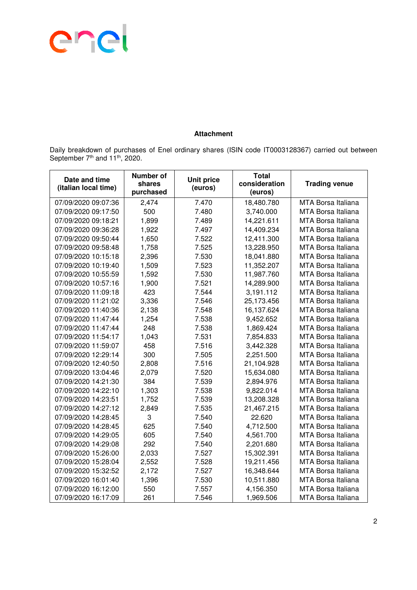

## **Attachment**

Daily breakdown of purchases of Enel ordinary shares (ISIN code IT0003128367) carried out between September 7<sup>th</sup> and 11<sup>th</sup>, 2020.

| Date and time<br>(italian local time) | <b>Number of</b><br>shares<br>purchased | <b>Unit price</b><br>(euros) | <b>Total</b><br>consideration<br>(euros) | <b>Trading venue</b>      |
|---------------------------------------|-----------------------------------------|------------------------------|------------------------------------------|---------------------------|
| 07/09/2020 09:07:36                   | 2,474                                   | 7.470                        | 18,480.780                               | MTA Borsa Italiana        |
| 07/09/2020 09:17:50                   | 500                                     | 7.480                        | 3,740.000                                | <b>MTA Borsa Italiana</b> |
| 07/09/2020 09:18:21                   | 1,899                                   | 7.489                        | 14,221.611                               | MTA Borsa Italiana        |
| 07/09/2020 09:36:28                   | 1,922                                   | 7.497                        | 14,409.234                               | <b>MTA Borsa Italiana</b> |
| 07/09/2020 09:50:44                   | 1,650                                   | 7.522                        | 12,411.300                               | <b>MTA Borsa Italiana</b> |
| 07/09/2020 09:58:48                   | 1,758                                   | 7.525                        | 13,228.950                               | <b>MTA Borsa Italiana</b> |
| 07/09/2020 10:15:18                   | 2,396                                   | 7.530                        | 18,041.880                               | MTA Borsa Italiana        |
| 07/09/2020 10:19:40                   | 1,509                                   | 7.523                        | 11,352.207                               | <b>MTA Borsa Italiana</b> |
| 07/09/2020 10:55:59                   | 1,592                                   | 7.530                        | 11,987.760                               | <b>MTA Borsa Italiana</b> |
| 07/09/2020 10:57:16                   | 1,900                                   | 7.521                        | 14,289.900                               | <b>MTA Borsa Italiana</b> |
| 07/09/2020 11:09:18                   | 423                                     | 7.544                        | 3,191.112                                | MTA Borsa Italiana        |
| 07/09/2020 11:21:02                   | 3,336                                   | 7.546                        | 25,173.456                               | MTA Borsa Italiana        |
| 07/09/2020 11:40:36                   | 2,138                                   | 7.548                        | 16,137.624                               | MTA Borsa Italiana        |
| 07/09/2020 11:47:44                   | 1,254                                   | 7.538                        | 9,452.652                                | MTA Borsa Italiana        |
| 07/09/2020 11:47:44                   | 248                                     | 7.538                        | 1,869.424                                | <b>MTA Borsa Italiana</b> |
| 07/09/2020 11:54:17                   | 1,043                                   | 7.531                        | 7,854.833                                | <b>MTA Borsa Italiana</b> |
| 07/09/2020 11:59:07                   | 458                                     | 7.516                        | 3,442.328                                | <b>MTA Borsa Italiana</b> |
| 07/09/2020 12:29:14                   | 300                                     | 7.505                        | 2,251.500                                | MTA Borsa Italiana        |
| 07/09/2020 12:40:50                   | 2,808                                   | 7.516                        | 21,104.928                               | MTA Borsa Italiana        |
| 07/09/2020 13:04:46                   | 2,079                                   | 7.520                        | 15,634.080                               | MTA Borsa Italiana        |
| 07/09/2020 14:21:30                   | 384                                     | 7.539                        | 2,894.976                                | <b>MTA Borsa Italiana</b> |
| 07/09/2020 14:22:10                   | 1,303                                   | 7.538                        | 9,822.014                                | <b>MTA Borsa Italiana</b> |
| 07/09/2020 14:23:51                   | 1,752                                   | 7.539                        | 13,208.328                               | MTA Borsa Italiana        |
| 07/09/2020 14:27:12                   | 2,849                                   | 7.535                        | 21,467.215                               | MTA Borsa Italiana        |
| 07/09/2020 14:28:45                   | 3                                       | 7.540                        | 22.620                                   | MTA Borsa Italiana        |
| 07/09/2020 14:28:45                   | 625                                     | 7.540                        | 4,712.500                                | <b>MTA Borsa Italiana</b> |
| 07/09/2020 14:29:05                   | 605                                     | 7.540                        | 4,561.700                                | <b>MTA Borsa Italiana</b> |
| 07/09/2020 14:29:08                   | 292                                     | 7.540                        | 2,201.680                                | <b>MTA Borsa Italiana</b> |
| 07/09/2020 15:26:00                   | 2,033                                   | 7.527                        | 15,302.391                               | MTA Borsa Italiana        |
| 07/09/2020 15:28:04                   | 2,552                                   | 7.528                        | 19,211.456                               | MTA Borsa Italiana        |
| 07/09/2020 15:32:52                   | 2,172                                   | 7.527                        | 16,348.644                               | MTA Borsa Italiana        |
| 07/09/2020 16:01:40                   | 1,396                                   | 7.530                        | 10,511.880                               | <b>MTA Borsa Italiana</b> |
| 07/09/2020 16:12:00                   | 550                                     | 7.557                        | 4,156.350                                | <b>MTA Borsa Italiana</b> |
| 07/09/2020 16:17:09                   | 261                                     | 7.546                        | 1,969.506                                | <b>MTA Borsa Italiana</b> |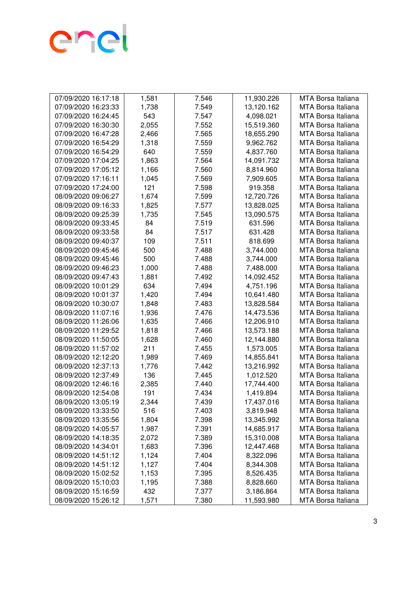

| 07/09/2020 16:17:18 | 1,581 | 7.546 | 11,930.226 | <b>MTA Borsa Italiana</b> |
|---------------------|-------|-------|------------|---------------------------|
| 07/09/2020 16:23:33 | 1,738 | 7.549 | 13,120.162 | <b>MTA Borsa Italiana</b> |
| 07/09/2020 16:24:45 | 543   | 7.547 | 4,098.021  | <b>MTA Borsa Italiana</b> |
| 07/09/2020 16:30:30 | 2,055 | 7.552 | 15,519.360 | <b>MTA Borsa Italiana</b> |
| 07/09/2020 16:47:28 | 2,466 | 7.565 | 18,655.290 | <b>MTA Borsa Italiana</b> |
| 07/09/2020 16:54:29 | 1,318 | 7.559 | 9,962.762  | <b>MTA Borsa Italiana</b> |
| 07/09/2020 16:54:29 | 640   | 7.559 | 4,837.760  | <b>MTA Borsa Italiana</b> |
| 07/09/2020 17:04:25 | 1,863 | 7.564 | 14,091.732 | <b>MTA Borsa Italiana</b> |
| 07/09/2020 17:05:12 | 1,166 | 7.560 | 8,814.960  | MTA Borsa Italiana        |
| 07/09/2020 17:16:11 | 1,045 | 7.569 | 7,909.605  | <b>MTA Borsa Italiana</b> |
| 07/09/2020 17:24:00 | 121   | 7.598 | 919.358    | <b>MTA Borsa Italiana</b> |
| 08/09/2020 09:06:27 | 1,674 | 7.599 | 12,720.726 | MTA Borsa Italiana        |
| 08/09/2020 09:16:33 | 1,825 | 7.577 | 13,828.025 | MTA Borsa Italiana        |
| 08/09/2020 09:25:39 | 1,735 | 7.545 | 13,090.575 | MTA Borsa Italiana        |
| 08/09/2020 09:33:45 | 84    | 7.519 | 631.596    | <b>MTA Borsa Italiana</b> |
| 08/09/2020 09:33:58 | 84    | 7.517 | 631.428    | <b>MTA Borsa Italiana</b> |
| 08/09/2020 09:40:37 | 109   | 7.511 | 818.699    | MTA Borsa Italiana        |
| 08/09/2020 09:45:46 | 500   | 7.488 | 3,744.000  | <b>MTA Borsa Italiana</b> |
| 08/09/2020 09:45:46 | 500   | 7.488 | 3,744.000  | <b>MTA Borsa Italiana</b> |
| 08/09/2020 09:46:23 | 1,000 | 7.488 | 7,488.000  | <b>MTA Borsa Italiana</b> |
| 08/09/2020 09:47:43 | 1,881 | 7.492 | 14,092.452 | <b>MTA Borsa Italiana</b> |
| 08/09/2020 10:01:29 | 634   | 7.494 | 4,751.196  | <b>MTA Borsa Italiana</b> |
| 08/09/2020 10:01:37 | 1,420 | 7.494 | 10,641.480 | <b>MTA Borsa Italiana</b> |
| 08/09/2020 10:30:07 | 1,848 | 7.483 | 13,828.584 | <b>MTA Borsa Italiana</b> |
| 08/09/2020 11:07:16 | 1,936 | 7.476 | 14,473.536 | <b>MTA Borsa Italiana</b> |
| 08/09/2020 11:26:06 | 1,635 | 7.466 | 12,206.910 | <b>MTA Borsa Italiana</b> |
| 08/09/2020 11:29:52 | 1,818 | 7.466 | 13,573.188 | MTA Borsa Italiana        |
| 08/09/2020 11:50:05 | 1,628 | 7.460 | 12,144.880 | MTA Borsa Italiana        |
| 08/09/2020 11:57:02 | 211   | 7.455 | 1,573.005  | MTA Borsa Italiana        |
| 08/09/2020 12:12:20 | 1,989 | 7.469 | 14,855.841 | <b>MTA Borsa Italiana</b> |
| 08/09/2020 12:37:13 | 1,776 | 7.442 | 13,216.992 | <b>MTA Borsa Italiana</b> |
| 08/09/2020 12:37:49 | 136   | 7.445 | 1,012.520  | <b>MTA Borsa Italiana</b> |
| 08/09/2020 12:46:16 | 2,385 | 7.440 | 17,744.400 | <b>MTA Borsa Italiana</b> |
| 08/09/2020 12:54:08 | 191   | 7.434 | 1,419.894  | <b>MTA Borsa Italiana</b> |
| 08/09/2020 13:05:19 | 2,344 | 7.439 | 17,437.016 | <b>MTA Borsa Italiana</b> |
| 08/09/2020 13:33:50 | 516   | 7.403 | 3,819.948  | MTA Borsa Italiana        |
| 08/09/2020 13:35:56 | 1,804 | 7.398 | 13,345.992 | <b>MTA Borsa Italiana</b> |
| 08/09/2020 14:05:57 | 1,987 | 7.391 | 14,685.917 | <b>MTA Borsa Italiana</b> |
| 08/09/2020 14:18:35 | 2,072 | 7.389 | 15,310.008 | <b>MTA Borsa Italiana</b> |
| 08/09/2020 14:34:01 | 1,683 | 7.396 | 12,447.468 | <b>MTA Borsa Italiana</b> |
| 08/09/2020 14:51:12 | 1,124 | 7.404 | 8,322.096  | <b>MTA Borsa Italiana</b> |
| 08/09/2020 14:51:12 | 1,127 | 7.404 | 8,344.308  | <b>MTA Borsa Italiana</b> |
| 08/09/2020 15:02:52 | 1,153 | 7.395 | 8,526.435  | <b>MTA Borsa Italiana</b> |
| 08/09/2020 15:10:03 | 1,195 | 7.388 | 8,828.660  | <b>MTA Borsa Italiana</b> |
| 08/09/2020 15:16:59 | 432   | 7.377 | 3,186.864  | <b>MTA Borsa Italiana</b> |
| 08/09/2020 15:26:12 | 1,571 | 7.380 | 11,593.980 | MTA Borsa Italiana        |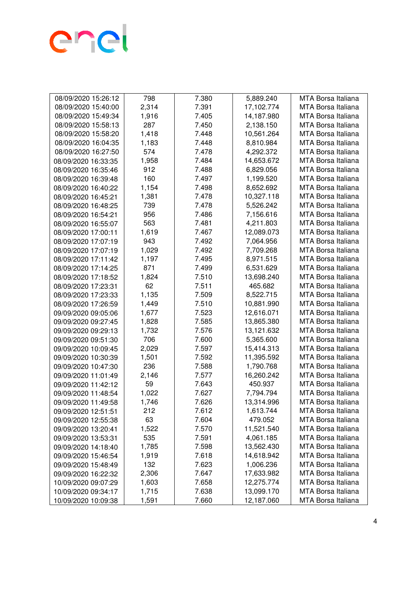

| 08/09/2020 15:26:12 | 798   | 7.380 | 5,889.240  | MTA Borsa Italiana        |
|---------------------|-------|-------|------------|---------------------------|
| 08/09/2020 15:40:00 | 2,314 | 7.391 | 17,102.774 | MTA Borsa Italiana        |
| 08/09/2020 15:49:34 | 1,916 | 7.405 | 14,187.980 | <b>MTA Borsa Italiana</b> |
| 08/09/2020 15:58:13 | 287   | 7.450 | 2,138.150  | <b>MTA Borsa Italiana</b> |
| 08/09/2020 15:58:20 | 1,418 | 7.448 | 10,561.264 | MTA Borsa Italiana        |
| 08/09/2020 16:04:35 | 1,183 | 7.448 | 8,810.984  | <b>MTA Borsa Italiana</b> |
| 08/09/2020 16:27:50 | 574   | 7.478 | 4,292.372  | <b>MTA Borsa Italiana</b> |
| 08/09/2020 16:33:35 | 1,958 | 7.484 | 14,653.672 | <b>MTA Borsa Italiana</b> |
| 08/09/2020 16:35:46 | 912   | 7.488 | 6,829.056  | <b>MTA Borsa Italiana</b> |
| 08/09/2020 16:39:48 | 160   | 7.497 | 1,199.520  | <b>MTA Borsa Italiana</b> |
| 08/09/2020 16:40:22 | 1,154 | 7.498 | 8,652.692  | <b>MTA Borsa Italiana</b> |
| 08/09/2020 16:45:21 | 1,381 | 7.478 | 10,327.118 | MTA Borsa Italiana        |
| 08/09/2020 16:48:25 | 739   | 7.478 | 5,526.242  | MTA Borsa Italiana        |
| 08/09/2020 16:54:21 | 956   | 7.486 | 7,156.616  | <b>MTA Borsa Italiana</b> |
| 08/09/2020 16:55:07 | 563   | 7.481 | 4,211.803  | <b>MTA Borsa Italiana</b> |
| 08/09/2020 17:00:11 | 1,619 | 7.467 | 12,089.073 | <b>MTA Borsa Italiana</b> |
| 08/09/2020 17:07:19 | 943   | 7.492 | 7,064.956  | <b>MTA Borsa Italiana</b> |
| 08/09/2020 17:07:19 | 1,029 | 7.492 | 7,709.268  | MTA Borsa Italiana        |
| 08/09/2020 17:11:42 | 1,197 | 7.495 | 8,971.515  | MTA Borsa Italiana        |
| 08/09/2020 17:14:25 | 871   | 7.499 | 6,531.629  | MTA Borsa Italiana        |
| 08/09/2020 17:18:52 | 1,824 | 7.510 | 13,698.240 | <b>MTA Borsa Italiana</b> |
| 08/09/2020 17:23:31 | 62    | 7.511 | 465.682    | <b>MTA Borsa Italiana</b> |
| 08/09/2020 17:23:33 | 1,135 | 7.509 | 8,522.715  | <b>MTA Borsa Italiana</b> |
| 08/09/2020 17:26:59 | 1,449 | 7.510 | 10,881.990 | MTA Borsa Italiana        |
| 09/09/2020 09:05:06 | 1,677 | 7.523 | 12,616.071 | MTA Borsa Italiana        |
| 09/09/2020 09:27:45 | 1,828 | 7.585 | 13,865.380 | MTA Borsa Italiana        |
| 09/09/2020 09:29:13 | 1,732 | 7.576 | 13,121.632 | MTA Borsa Italiana        |
| 09/09/2020 09:51:30 | 706   | 7.600 | 5,365.600  | MTA Borsa Italiana        |
| 09/09/2020 10:09:45 | 2,029 | 7.597 | 15,414.313 | MTA Borsa Italiana        |
| 09/09/2020 10:30:39 | 1,501 | 7.592 | 11,395.592 | <b>MTA Borsa Italiana</b> |
| 09/09/2020 10:47:30 | 236   | 7.588 | 1,790.768  | MTA Borsa Italiana        |
| 09/09/2020 11:01:49 | 2,146 | 7.577 | 16,260.242 | <b>MTA Borsa Italiana</b> |
| 09/09/2020 11:42:12 | 59    | 7.643 | 450.937    | <b>MTA Borsa Italiana</b> |
| 09/09/2020 11:48:54 | 1,022 | 7.627 | 7,794.794  | <b>MTA Borsa Italiana</b> |
| 09/09/2020 11:49:58 | 1,746 | 7.626 | 13,314.996 | <b>MTA Borsa Italiana</b> |
| 09/09/2020 12:51:51 | 212   | 7.612 | 1,613.744  | MTA Borsa Italiana        |
| 09/09/2020 12:55:38 | 63    | 7.604 | 479.052    | <b>MTA Borsa Italiana</b> |
| 09/09/2020 13:20:41 | 1,522 | 7.570 | 11,521.540 | <b>MTA Borsa Italiana</b> |
| 09/09/2020 13:53:31 | 535   | 7.591 | 4,061.185  | <b>MTA Borsa Italiana</b> |
| 09/09/2020 14:18:40 | 1,785 | 7.598 | 13,562.430 | <b>MTA Borsa Italiana</b> |
| 09/09/2020 15:46:54 | 1,919 | 7.618 | 14,618.942 | <b>MTA Borsa Italiana</b> |
| 09/09/2020 15:48:49 | 132   | 7.623 | 1,006.236  | <b>MTA Borsa Italiana</b> |
| 09/09/2020 16:22:32 | 2,306 | 7.647 | 17,633.982 | MTA Borsa Italiana        |
| 10/09/2020 09:07:29 | 1,603 | 7.658 | 12,275.774 | <b>MTA Borsa Italiana</b> |
| 10/09/2020 09:34:17 | 1,715 | 7.638 | 13,099.170 | <b>MTA Borsa Italiana</b> |
| 10/09/2020 10:09:38 | 1,591 | 7.660 | 12,187.060 | MTA Borsa Italiana        |